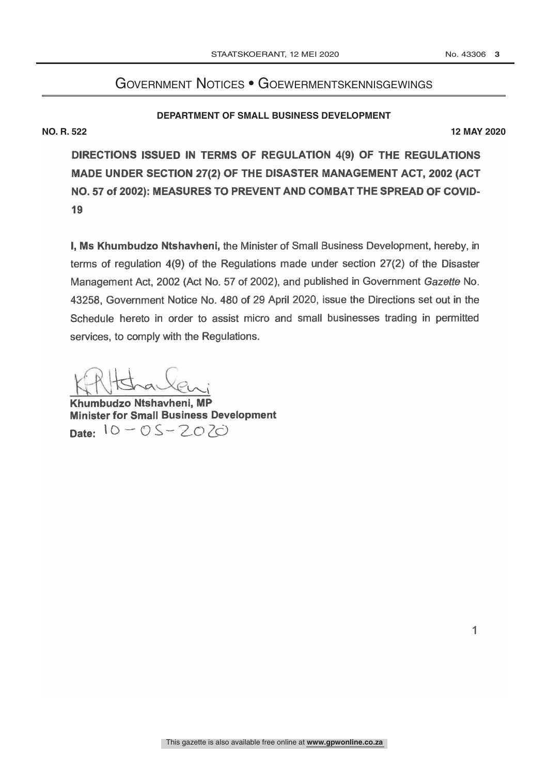# Government Notices • Goewermentskennisgewings

## **DEPARTMENT OF SMALL BUSINESS DEVELOPMENT**

**NO. R. 522 12 MAY 2020**

DIRECTIONS ISSUED IN TERMS OF REGULATION 4(9) OF THE REGULATIONS MADE UNDER SECTION 27(2) OF THE DISASTER MANAGEMENT ACT, 2002 (ACT NO.57 of 2002): MEASURES TO PREVENT AND COMBAT THE SPREAD OF COVID-19

I, Ms Khumbudzo Ntshavheni, the Minister of Small Business Development, hereby, in terms of regulation 4(9) of the Regulations made under section 27(2) of the Disaster Management Act, 2002 (Act No. 57 of 2002), and published in Government Gazette No. 43258, Government Notice No. 480 of 29 April 2020, issue the Directions set out in the Schedule hereto in order to assist micro and small businesses trading in permitted services, to comply with the Regulations.

KAHStrauleni

Minister for Small Business Development Date:  $10 - 0S - 2070$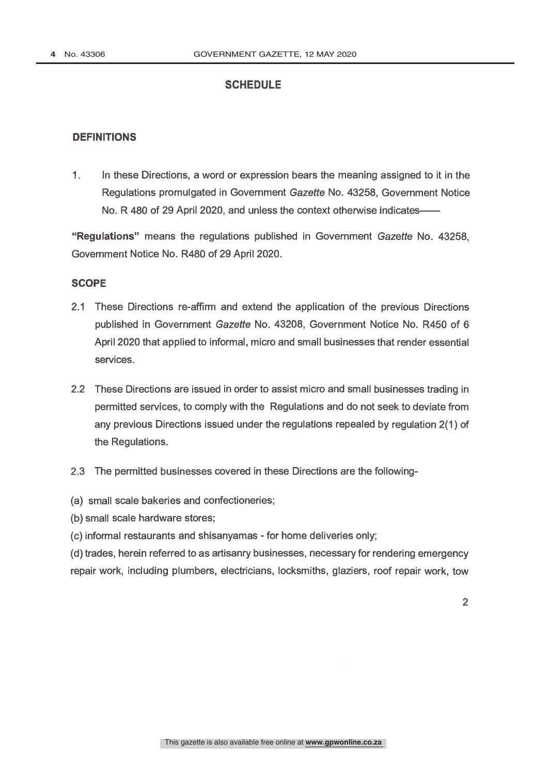# **SCHEDULE**

## **DEFINITIONS**

1. In these Directions, a word or expression bears the meaning assigned to it in the Regulations promulgated in Government Gazette No. 43258, Government Notice No. R 480 of 29 April 2020, and unless the context otherwise indicates

"Regulations" means the regulations published in Government Gazette No. 43258, Government Notice No. R480 of 29 April 2020.

#### **SCOPE**

- 2.1 These Directions re -affirm and extend the application of the previous Directions published in Government Gazette No. 43208, Government Notice No. R450 of 6 April 2020 that applied to informal, micro and small businesses that render essential services.
- 2.2 These Directions are issued in order to assist micro and small businesses trading in permitted services, to comply with the Regulations and do not seek to deviate from any previous Directions issued under the regulations repealed by regulation 2(1) of the Regulations.
- 2.3 The permitted businesses covered in these Directions are the following-
- (a) small scale bakeries and confectioneries;
- (b) small scale hardware stores;

(c) informal restaurants and shisanyamas - for home deliveries only;

(d) trades, herein referred to as artisanry businesses, necessary for rendering emergency repair work, including plumbers, electricians, locksmiths, glaziers, roof repair work, tow

 $\mathfrak{D}$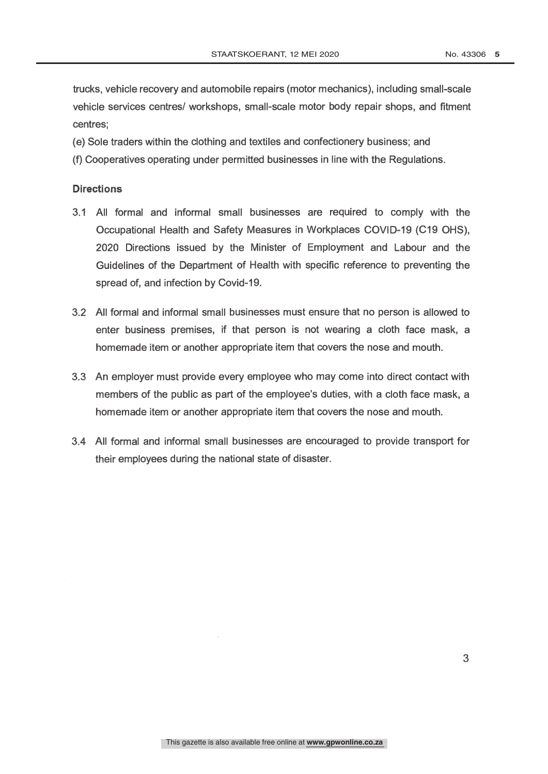trucks, vehicle recovery and automobile repairs (motor mechanics), including small -scale vehicle services centres/ workshops, small -scale motor body repair shops, and fitment centres;

- (e) Sole traders within the clothing and textiles and confectionery business; and
- (f) Cooperatives operating under permitted businesses in line with the Regulations.

## **Directions**

- 3.1 All formal and informal small businesses are required to comply with the Occupational Health and Safety Measures in Workplaces COVID -19 (C19 OHS), 2020 Directions issued by the Minister of Employment and Labour and the Guidelines of the Department of Health with specific reference to preventing the spread of, and infection by Covid-19.
- 3.2 All formal and informal small businesses must ensure that no person is allowed to enter business premises, if that person is not wearing a cloth face mask, a homemade item or another appropriate item that covers the nose and mouth.
- 3.3 An employer must provide every employee who may come into direct contact with members of the public as part of the employee's duties, with a cloth face mask, a homemade item or another appropriate item that covers the nose and mouth.
- 3.4 All formal and informal small businesses are encouraged to provide transport for their employees during the national state of disaster.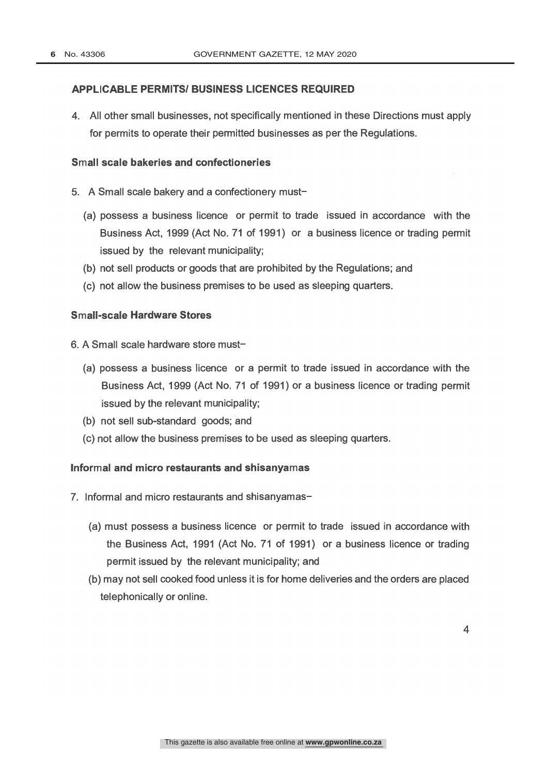## APPLICABLE PERMITS/ BUSINESS LICENCES REQUIRED

4. All other small businesses, not specifically mentioned in these Directions must apply for permits to operate their permitted businesses as per the Regulations.

#### Small scale bakeries and confectioneries

- 5. A Small scale bakery and a confectionery must-
	- (a) possess a business licence or permit to trade issued in accordance with the Business Act, 1999 (Act No. 71 of 1991) or a business licence or trading permit issued by the relevant municipality;
	- (b) not sell products or goods that are prohibited by the Regulations; and
	- (c) not allow the business premises to be used as sleeping quarters.

## Small-scale Hardware Stores

- 6. A Small scale hardware store must-
	- (a) possess a business licence or a permit to trade issued in accordance with the Business Act, 1999 (Act No. 71 of 1991) or a business licence or trading permit issued by the relevant municipality;
	- (b) not sell sub -standard goods; and
	- (c) not allow the business premises to be used as sleeping quarters.

## Informal and micro restaurants and shisanyamas

- 7. Informal and micro restaurants and shisanyamas-
	- (a) must possess a business licence or permit to trade issued in accordance with the Business Act, 1991 (Act No. 71 of 1991) or a business licence or trading permit issued by the relevant municipality; and
	- (b) may not sell cooked food unless it is for home deliveries and the orders are placed telephonically or online.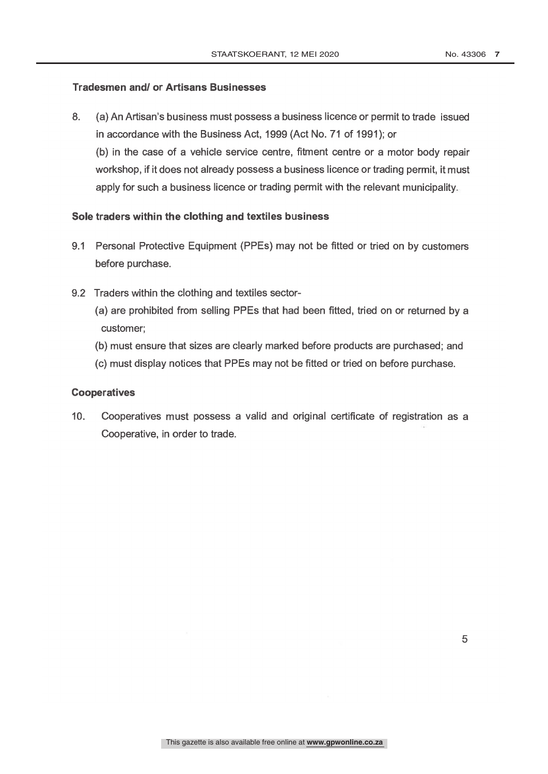## Tradesmen and/ or Artisans Businesses

. apply for such a business licence or trading permit with the relevant municipality 8. (a) An Artisan's business must possess a business licence or permit to trade issued in accordance with the Business Act, 1999 (Act No. 71 of 1991); or (b) in the case of a vehicle service centre, fitment centre or a motor body repair workshop, if it does not already possess a business licence or trading permit, it must

# Sole traders within the clothing and textiles business

- 9.1 Personal Protective Equipment (PPEs) may not be fitted or tried on by customers before purchase.
- 9.2 Traders within the clothing and textiles sector-
	- (a) are prohibited from selling PPEs that had been fitted, tried on or returned by a customer;
	- (b) must ensure that sizes are clearly marked before products are purchased; and
	- (c) must display notices that PPEs may not be fitted or tried on before purchase.

## **Cooperatives**

10. Cooperatives must possess a valid and original certificate of registration as a Cooperative, in order to trade.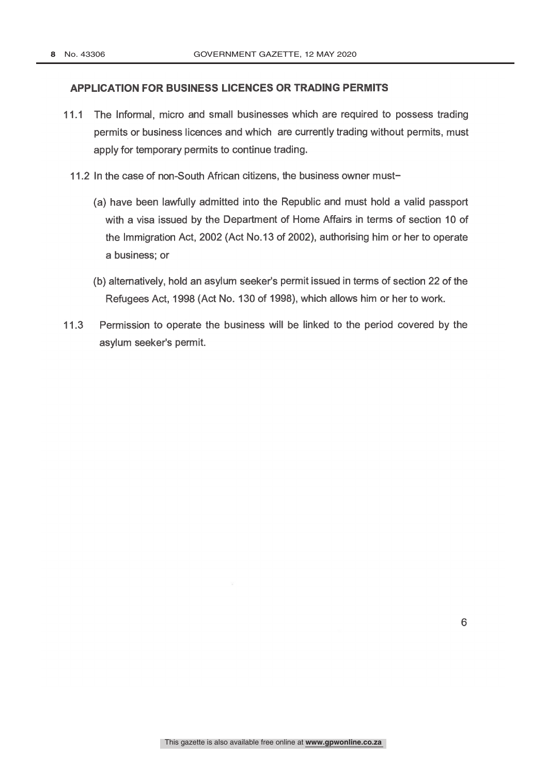## APPLICATION FOR BUSINESS LICENCES OR TRADING PERMITS

- 11.1 The Informal, micro and small businesses which are required to possess trading permits or business licences and which are currently trading without permits, must apply for temporary permits to continue trading.
	- 11.2 In the case of non-South African citizens, the business owner must-
		- (a) have been lawfully admitted into the Republic and must hold a valid passport with a visa issued by the Department of Home Affairs in terms of section 10 of the Immigration Act, 2002 (Act No.13 of 2002), authorising him or her to operate a business; or
		- (b) alternatively, hold an asylum seeker's permit issued in terms of section 22 of the Refugees Act, 1998 (Act No. 130 of 1998), which allows him or her to work.
- 11.3 Permission to operate the business will be linked to the period covered by the asylum seeker's permit.